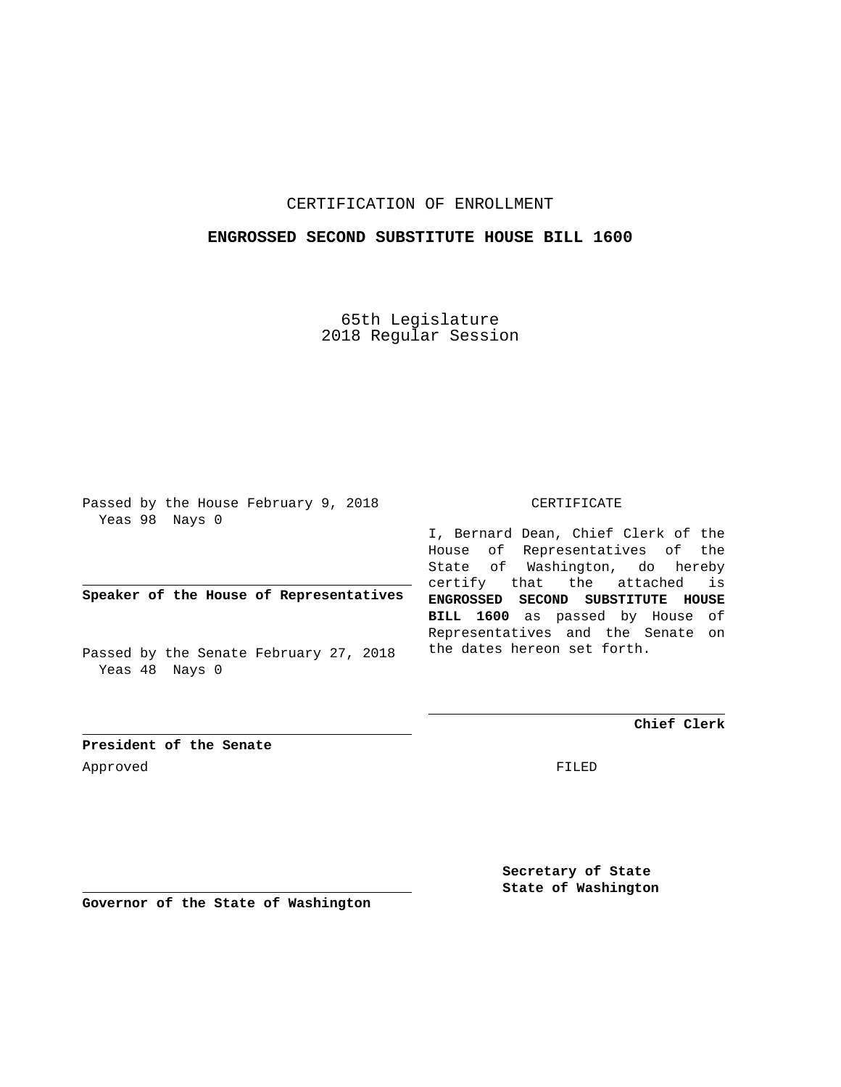## CERTIFICATION OF ENROLLMENT

## **ENGROSSED SECOND SUBSTITUTE HOUSE BILL 1600**

65th Legislature 2018 Regular Session

Passed by the House February 9, 2018 Yeas 98 Nays 0

**Speaker of the House of Representatives**

Passed by the Senate February 27, 2018 Yeas 48 Nays 0

## CERTIFICATE

I, Bernard Dean, Chief Clerk of the House of Representatives of the State of Washington, do hereby certify that the attached is **ENGROSSED SECOND SUBSTITUTE HOUSE BILL 1600** as passed by House of Representatives and the Senate on the dates hereon set forth.

**Chief Clerk**

**President of the Senate** Approved FILED

**Secretary of State State of Washington**

**Governor of the State of Washington**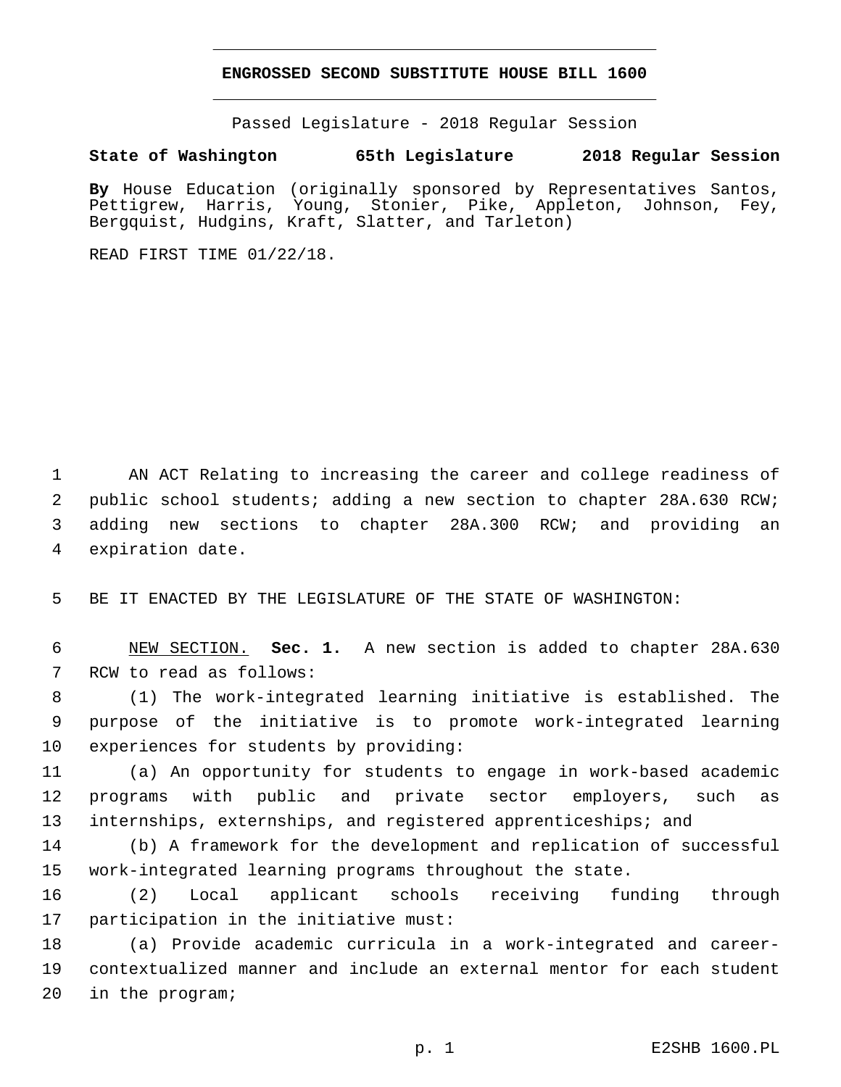## **ENGROSSED SECOND SUBSTITUTE HOUSE BILL 1600**

Passed Legislature - 2018 Regular Session

**State of Washington 65th Legislature 2018 Regular Session**

**By** House Education (originally sponsored by Representatives Santos, Pettigrew, Harris, Young, Stonier, Pike, Appleton, Johnson, Fey, Bergquist, Hudgins, Kraft, Slatter, and Tarleton)

READ FIRST TIME 01/22/18.

 AN ACT Relating to increasing the career and college readiness of public school students; adding a new section to chapter 28A.630 RCW; adding new sections to chapter 28A.300 RCW; and providing an 4 expiration date.

5 BE IT ENACTED BY THE LEGISLATURE OF THE STATE OF WASHINGTON:

6 NEW SECTION. **Sec. 1.** A new section is added to chapter 28A.630 7 RCW to read as follows:

8 (1) The work-integrated learning initiative is established. The 9 purpose of the initiative is to promote work-integrated learning 10 experiences for students by providing:

11 (a) An opportunity for students to engage in work-based academic 12 programs with public and private sector employers, such as 13 internships, externships, and registered apprenticeships; and

14 (b) A framework for the development and replication of successful 15 work-integrated learning programs throughout the state.

16 (2) Local applicant schools receiving funding through 17 participation in the initiative must:

18 (a) Provide academic curricula in a work-integrated and career-19 contextualized manner and include an external mentor for each student 20 in the program;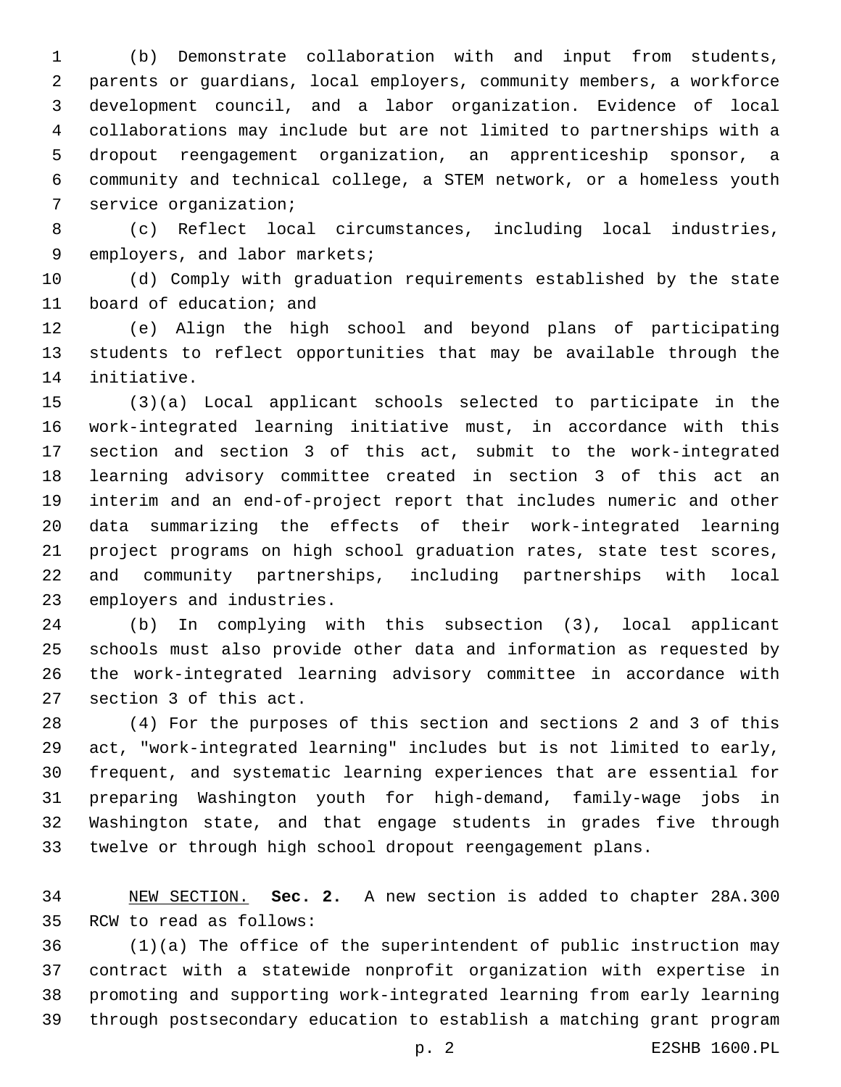(b) Demonstrate collaboration with and input from students, parents or guardians, local employers, community members, a workforce development council, and a labor organization. Evidence of local collaborations may include but are not limited to partnerships with a dropout reengagement organization, an apprenticeship sponsor, a community and technical college, a STEM network, or a homeless youth 7 service organization;

 (c) Reflect local circumstances, including local industries, 9 employers, and labor markets;

 (d) Comply with graduation requirements established by the state 11 board of education; and

 (e) Align the high school and beyond plans of participating students to reflect opportunities that may be available through the 14 initiative.

 (3)(a) Local applicant schools selected to participate in the work-integrated learning initiative must, in accordance with this section and section 3 of this act, submit to the work-integrated learning advisory committee created in section 3 of this act an interim and an end-of-project report that includes numeric and other data summarizing the effects of their work-integrated learning project programs on high school graduation rates, state test scores, and community partnerships, including partnerships with local 23 employers and industries.

 (b) In complying with this subsection (3), local applicant schools must also provide other data and information as requested by the work-integrated learning advisory committee in accordance with 27 section 3 of this act.

 (4) For the purposes of this section and sections 2 and 3 of this act, "work-integrated learning" includes but is not limited to early, frequent, and systematic learning experiences that are essential for preparing Washington youth for high-demand, family-wage jobs in Washington state, and that engage students in grades five through twelve or through high school dropout reengagement plans.

 NEW SECTION. **Sec. 2.** A new section is added to chapter 28A.300 35 RCW to read as follows:

 (1)(a) The office of the superintendent of public instruction may contract with a statewide nonprofit organization with expertise in promoting and supporting work-integrated learning from early learning through postsecondary education to establish a matching grant program

p. 2 E2SHB 1600.PL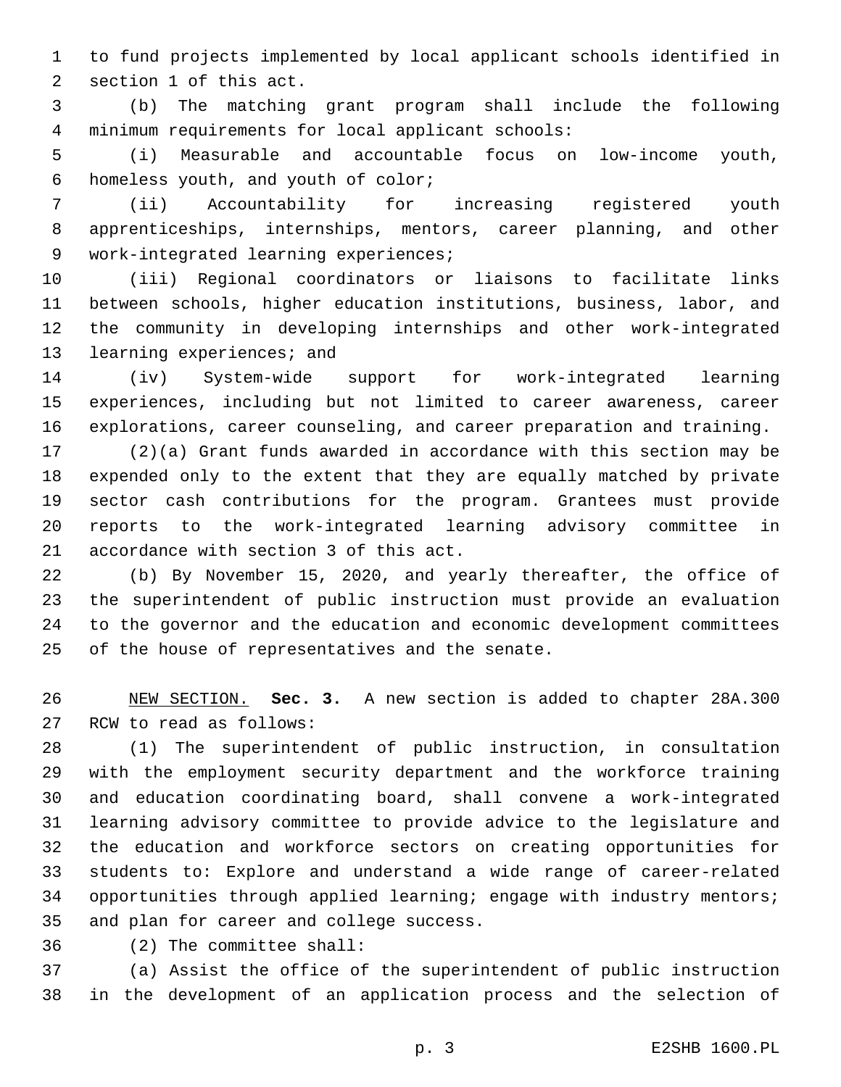to fund projects implemented by local applicant schools identified in 2 section 1 of this act.

 (b) The matching grant program shall include the following minimum requirements for local applicant schools:4

 (i) Measurable and accountable focus on low-income youth, 6 homeless youth, and youth of color;

 (ii) Accountability for increasing registered youth apprenticeships, internships, mentors, career planning, and other 9 work-integrated learning experiences;

 (iii) Regional coordinators or liaisons to facilitate links between schools, higher education institutions, business, labor, and the community in developing internships and other work-integrated 13 learning experiences; and

 (iv) System-wide support for work-integrated learning experiences, including but not limited to career awareness, career explorations, career counseling, and career preparation and training.

 (2)(a) Grant funds awarded in accordance with this section may be expended only to the extent that they are equally matched by private sector cash contributions for the program. Grantees must provide reports to the work-integrated learning advisory committee in 21 accordance with section 3 of this act.

 (b) By November 15, 2020, and yearly thereafter, the office of the superintendent of public instruction must provide an evaluation to the governor and the education and economic development committees 25 of the house of representatives and the senate.

 NEW SECTION. **Sec. 3.** A new section is added to chapter 28A.300 27 RCW to read as follows:

 (1) The superintendent of public instruction, in consultation with the employment security department and the workforce training and education coordinating board, shall convene a work-integrated learning advisory committee to provide advice to the legislature and the education and workforce sectors on creating opportunities for students to: Explore and understand a wide range of career-related opportunities through applied learning; engage with industry mentors; 35 and plan for career and college success.

(2) The committee shall:36

 (a) Assist the office of the superintendent of public instruction in the development of an application process and the selection of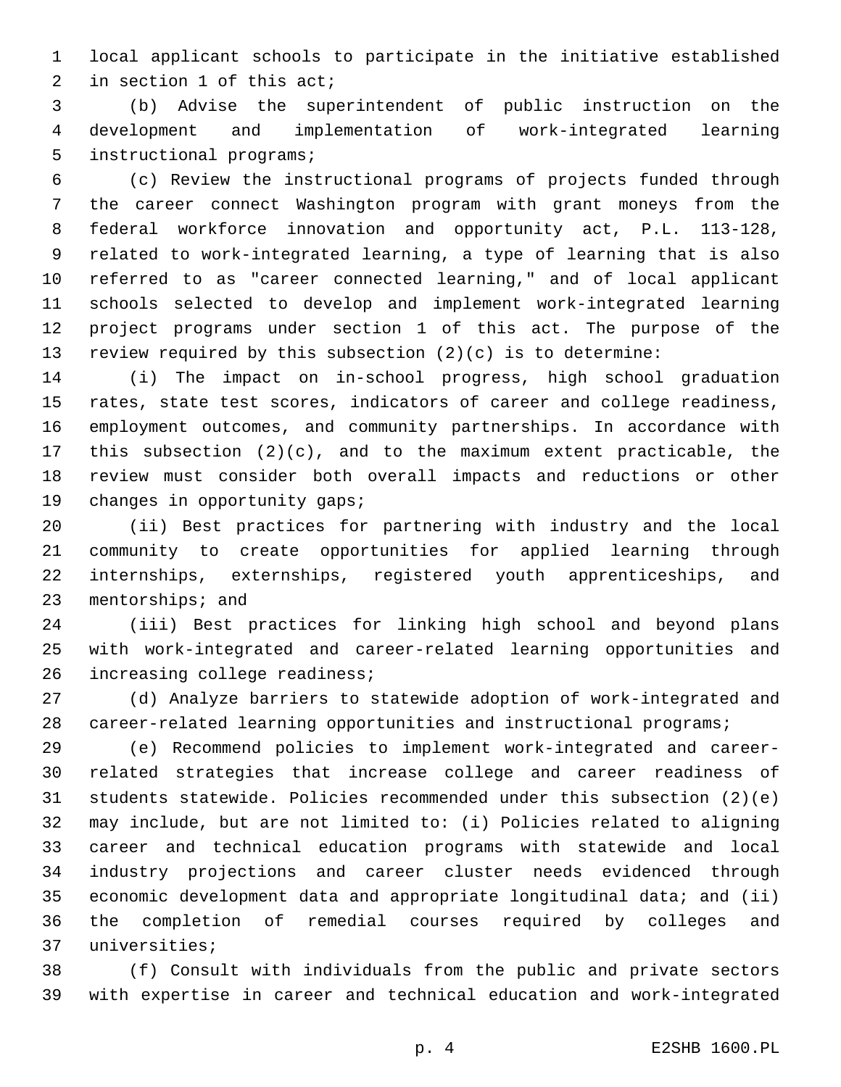local applicant schools to participate in the initiative established 2 in section of this act;

 (b) Advise the superintendent of public instruction on the development and implementation of work-integrated learning 5 instructional programs;

 (c) Review the instructional programs of projects funded through the career connect Washington program with grant moneys from the federal workforce innovation and opportunity act, P.L. 113-128, related to work-integrated learning, a type of learning that is also referred to as "career connected learning," and of local applicant schools selected to develop and implement work-integrated learning project programs under section 1 of this act. The purpose of the review required by this subsection (2)(c) is to determine:

 (i) The impact on in-school progress, high school graduation rates, state test scores, indicators of career and college readiness, employment outcomes, and community partnerships. In accordance with this subsection (2)(c), and to the maximum extent practicable, the review must consider both overall impacts and reductions or other 19 changes in opportunity gaps;

 (ii) Best practices for partnering with industry and the local community to create opportunities for applied learning through internships, externships, registered youth apprenticeships, and 23 mentorships; and

 (iii) Best practices for linking high school and beyond plans with work-integrated and career-related learning opportunities and 26 increasing college readiness;

 (d) Analyze barriers to statewide adoption of work-integrated and career-related learning opportunities and instructional programs;

 (e) Recommend policies to implement work-integrated and career- related strategies that increase college and career readiness of students statewide. Policies recommended under this subsection (2)(e) may include, but are not limited to: (i) Policies related to aligning career and technical education programs with statewide and local industry projections and career cluster needs evidenced through economic development data and appropriate longitudinal data; and (ii) the completion of remedial courses required by colleges and 37 universities;

 (f) Consult with individuals from the public and private sectors with expertise in career and technical education and work-integrated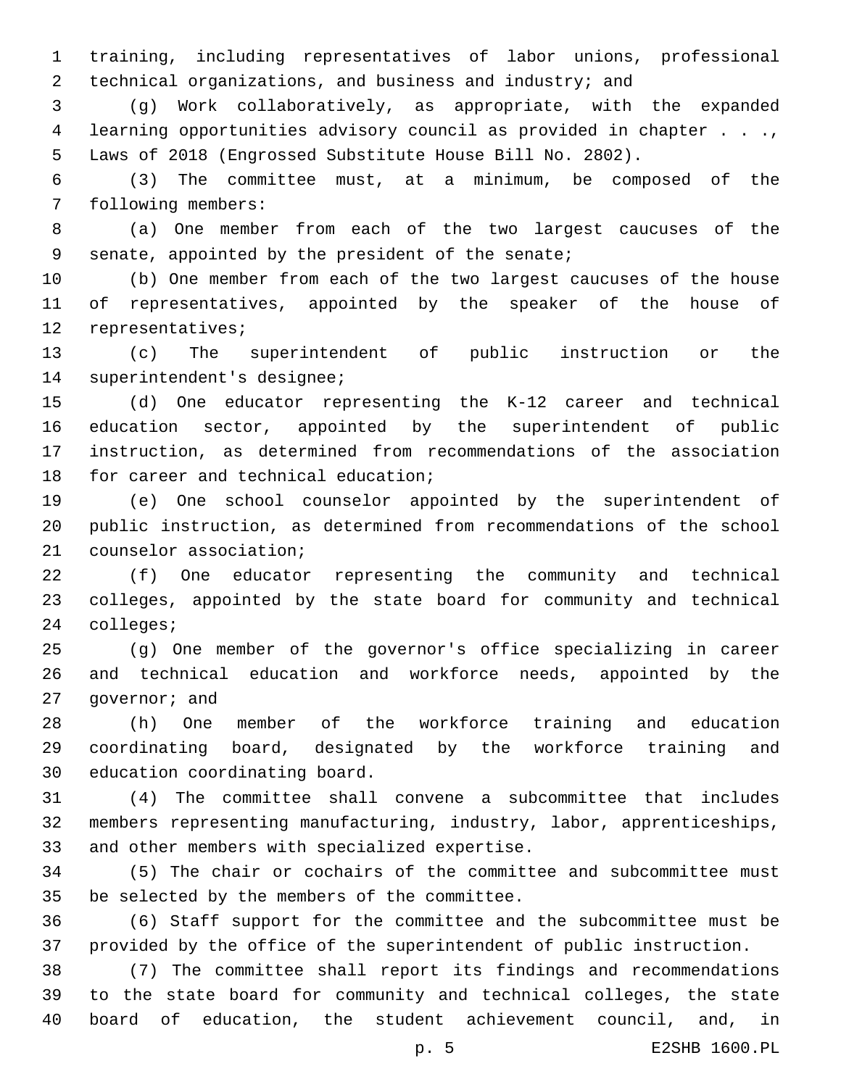training, including representatives of labor unions, professional technical organizations, and business and industry; and

 (g) Work collaboratively, as appropriate, with the expanded learning opportunities advisory council as provided in chapter . . ., Laws of 2018 (Engrossed Substitute House Bill No. 2802).

 (3) The committee must, at a minimum, be composed of the 7 following members:

 (a) One member from each of the two largest caucuses of the 9 senate, appointed by the president of the senate;

 (b) One member from each of the two largest caucuses of the house of representatives, appointed by the speaker of the house of 12 representatives;

 (c) The superintendent of public instruction or the 14 superintendent's designee;

 (d) One educator representing the K-12 career and technical education sector, appointed by the superintendent of public instruction, as determined from recommendations of the association 18 for career and technical education;

 (e) One school counselor appointed by the superintendent of public instruction, as determined from recommendations of the school 21 counselor association;

 (f) One educator representing the community and technical colleges, appointed by the state board for community and technical 24 colleges;

 (g) One member of the governor's office specializing in career and technical education and workforce needs, appointed by the 27 qovernor; and

 (h) One member of the workforce training and education coordinating board, designated by the workforce training and 30 education coordinating board.

 (4) The committee shall convene a subcommittee that includes members representing manufacturing, industry, labor, apprenticeships, 33 and other members with specialized expertise.

 (5) The chair or cochairs of the committee and subcommittee must 35 be selected by the members of the committee.

 (6) Staff support for the committee and the subcommittee must be provided by the office of the superintendent of public instruction.

 (7) The committee shall report its findings and recommendations to the state board for community and technical colleges, the state board of education, the student achievement council, and, in

p. 5 E2SHB 1600.PL